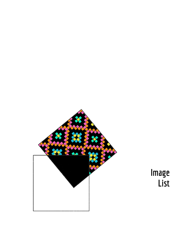

# **Image List**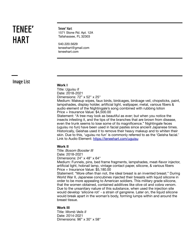# **HARTTENEE'**

**Tenee' Hart** 1571 Stone Rd. Apt. 12A Tallahassee, FL 32303

540.220.5629 teneehart@gmail.com teneehart.com

**Image List**

## **Work I**

Title: *Uguisu II* Date: 2018-2021 Dimensions: 72" x 52" x 25"

Medium: Makeup wipes, faux birds, birdcages, birdcage veil, chopsticks, paint, lampshades, display holder, artificial light, wallpaper, metal, various fibers & audio element of the Nightingale's song combined with rubbing lotion Price + Insurance Value: \$4,500.00

Statement: "A tree may look as beautiful as ever; but when you notice the insects infesting it, and the tips of the branches that are brown from disease, even the trunk seems to lose some of its magnificence." Nightingale feces (uguisu no fun) have been used in facial pastes since ancient Japanese times. Historically, Geishas used it to remove their heavy makeup and to whiten their skin. Due to this, 'uguisu no fun' is commonly referred to as the 'Geisha facial.' Link to Audio Element: <https://teneehart.com/uguisu>

### **Work II**

Title: *Bosom Booster III* Date: 2018-2021 Dimensions: 24" x 48" x 64"

Medium: Funnels, pins, bed frame fragments, lampshades, meat-flavor injector, artificial light, hobnail lamp, vintage contact paper, silicone, & various fibers Price + Insurance Value: \$5,180.00

Statement: "More often than not, the ideal breast is an invented breast." During World War II, Japanese concubines injected their breasts with liquid silicone in order to be more appealing to American soldiers. This military grade silicone, that the women obtained, contained additives like olive oil and cobra venom. Due to the unsanitary nature of this substance, when used the injection site would develop 'silicone rot' - a strain of gangrene. Later on, the liquid silicone would break apart in the woman's body, forming lumps within and around the breast tissue.

### **Work III**

Title: *Womb Veils II* Date: 2014-2021 Dimensions: 96" x 30" x 58"